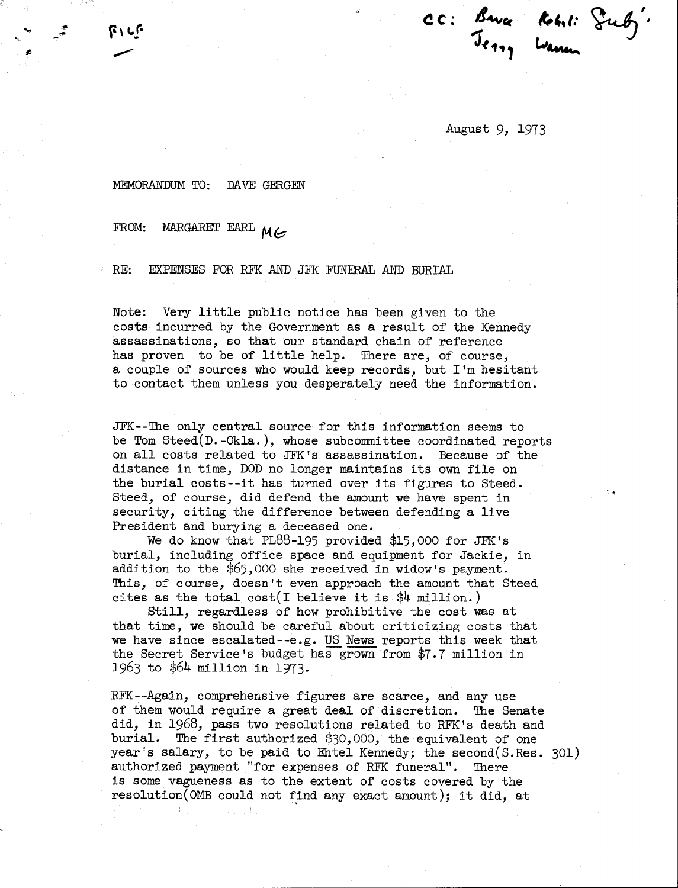**,t",I:** ~L', **Q--V)**  wane su

August 9, 1973

## MEMORANDUM TO: DAVE GERGEN

## FROM: MARGARET EARL MG

RE: EXPENSES FOR RFK AND JFK FUNERAL AND BURIAL

Note: Very little public notice has been given to the costs incurred by the Government as a result of the Kennedy assassinations, so that our standard chain of reference has proven to be of little help. There are, of course, a couple of sources who would keep records, but I'm hesitant to contact them unless you desperately need the information.

JFK--The only central source for this information seems to be Tom Steed(D.-Okla.), whose subcommittee coordinated reports on all costs related to JFK's assassination. Because of the distance in time, DOD no longer maintains its own file on the burial costs--it has turned over its figures to Steed. Steed, of course, did defend the amount we have spent in security, citing the difference between defending a live President and burying a deceased one.

We do know that PL88-195 provided \$15,000 for JFK's burial, including office space and equipment for Jackie, in addition to the \$65,000 she received in widow's payment. This, of course, doesn't even approach the amount that Steed cites as the total cost(I believe it is \$4 million.)

Still, regardless of how prohibitive the cost was at that time, we should be careful about criticizing costs that we have since escalated--e.g. US News reports this week that the Secret Service's budget has grown from \$7.7 million in 1963 to \$64 million in 1973.

RFK--Again, comprehensive figures are scarce, and any use of them would require a great deal of discretion. The Senate did, in 1968, pass two resolutions related to RFK's death and burial. The first authorized \$30,000, the equivalent of one year's salary, to be paid to Entel Kennedy; the second  $(S. Res. 301)$ authorized payment "for expenses of RFK funeral". There is some vagueness as to the extent of costs covered by the  $resolution(OMB could not find any exact amount); it did, at$